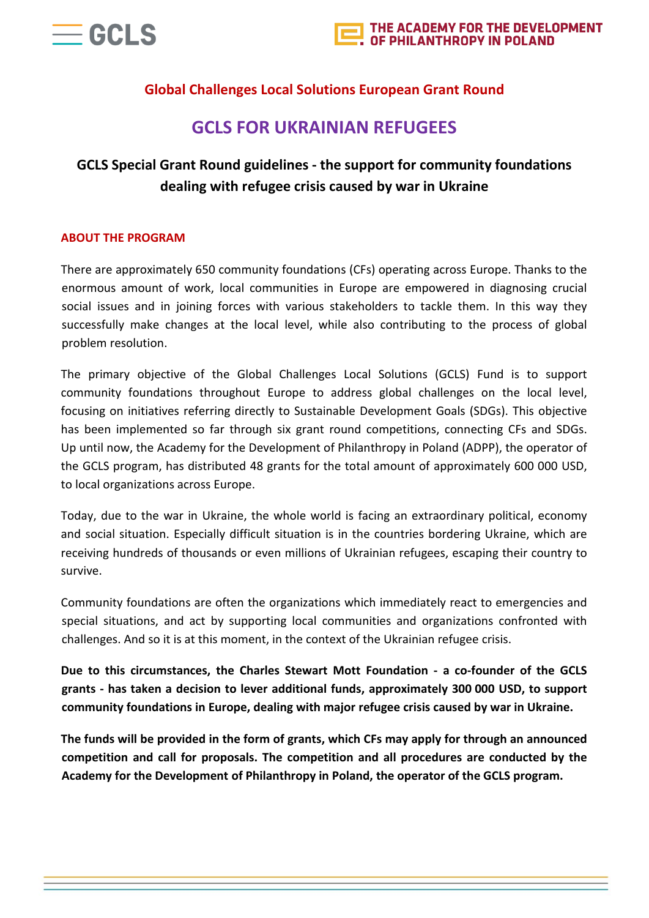

# **Global Challenges Local Solutions European Grant Round**

# **GCLS FOR UKRAINIAN REFUGEES**

# **GCLS Special Grant Round guidelines - the support for community foundations dealing with refugee crisis caused by war in Ukraine**

#### **ABOUT THE PROGRAM**

There are approximately 650 community foundations (CFs) operating across Europe. Thanks to the enormous amount of work, local communities in Europe are empowered in diagnosing crucial social issues and in joining forces with various stakeholders to tackle them. In this way they successfully make changes at the local level, while also contributing to the process of global problem resolution.

The primary objective of the Global Challenges Local Solutions (GCLS) Fund is to support community foundations throughout Europe to address global challenges on the local level, focusing on initiatives referring directly to Sustainable Development Goals (SDGs). This objective has been implemented so far through six grant round competitions, connecting CFs and SDGs. Up until now, the Academy for the Development of Philanthropy in Poland (ADPP), the operator of the GCLS program, has distributed 48 grants for the total amount of approximately 600 000 USD, to local organizations across Europe.

Today, due to the war in Ukraine, the whole world is facing an extraordinary political, economy and social situation. Especially difficult situation is in the countries bordering Ukraine, which are receiving hundreds of thousands or even millions of Ukrainian refugees, escaping their country to survive.

Community foundations are often the organizations which immediately react to emergencies and special situations, and act by supporting local communities and organizations confronted with challenges. And so it is at this moment, in the context of the Ukrainian refugee crisis.

**Due to this circumstances, the Charles Stewart Mott Foundation - a co-founder of the GCLS grants - has taken a decision to lever additional funds, approximately 300 000 USD, to support community foundations in Europe, dealing with major refugee crisis caused by war in Ukraine.**

**The funds will be provided in the form of grants, which CFs may apply for through an announced competition and call for proposals. The competition and all procedures are conducted by the Academy for the Development of Philanthropy in Poland, the operator of the GCLS program.**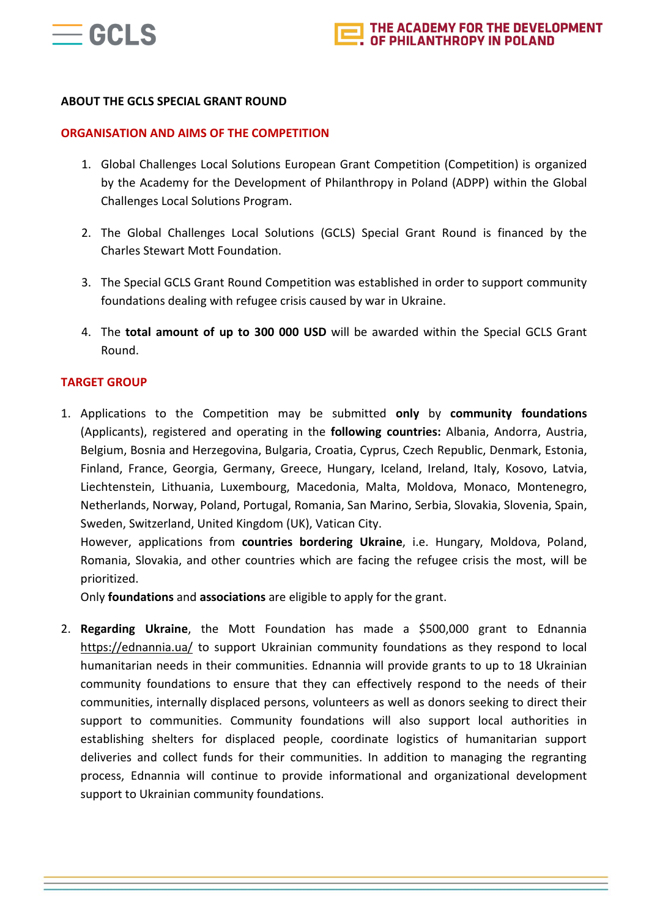

#### **ABOUT THE GCLS SPECIAL GRANT ROUND**

#### **ORGANISATION AND AIMS OF THE COMPETITION**

- 1. Global Challenges Local Solutions European Grant Competition (Competition) is organized by the Academy for the Development of Philanthropy in Poland (ADPP) within the Global Challenges Local Solutions Program.
- 2. The Global Challenges Local Solutions (GCLS) Special Grant Round is financed by the Charles Stewart Mott Foundation.
- 3. The Special GCLS Grant Round Competition was established in order to support community foundations dealing with refugee crisis caused by war in Ukraine.
- 4. The **total amount of up to 300 000 USD** will be awarded within the Special GCLS Grant Round.

#### **TARGET GROUP**

1. Applications to the Competition may be submitted **only** by **community foundations** (Applicants), registered and operating in the **following countries:** Albania, Andorra, Austria, Belgium, Bosnia and Herzegovina, Bulgaria, Croatia, Cyprus, Czech Republic, Denmark, Estonia, Finland, France, Georgia, Germany, Greece, Hungary, Iceland, Ireland, Italy, Kosovo, Latvia, Liechtenstein, Lithuania, Luxembourg, Macedonia, Malta, Moldova, Monaco, Montenegro, Netherlands, Norway, Poland, Portugal, Romania, San Marino, Serbia, Slovakia, Slovenia, Spain, Sweden, Switzerland, United Kingdom (UK), Vatican City.

However, applications from **countries bordering Ukraine**, i.e. Hungary, Moldova, Poland, Romania, Slovakia, and other countries which are facing the refugee crisis the most, will be prioritized.

Only **foundations** and **associations** are eligible to apply for the grant.

2. **Regarding Ukraine**, the Mott Foundation has made a \$500,000 grant to Ednannia <https://ednannia.ua/> to support Ukrainian community foundations as they respond to local humanitarian needs in their communities. Ednannia will provide grants to up to 18 Ukrainian community foundations to ensure that they can effectively respond to the needs of their communities, internally displaced persons, volunteers as well as donors seeking to direct their support to communities. Community foundations will also support local authorities in establishing shelters for displaced people, coordinate logistics of humanitarian support deliveries and collect funds for their communities. In addition to managing the regranting process, Ednannia will continue to provide informational and organizational development support to Ukrainian community foundations.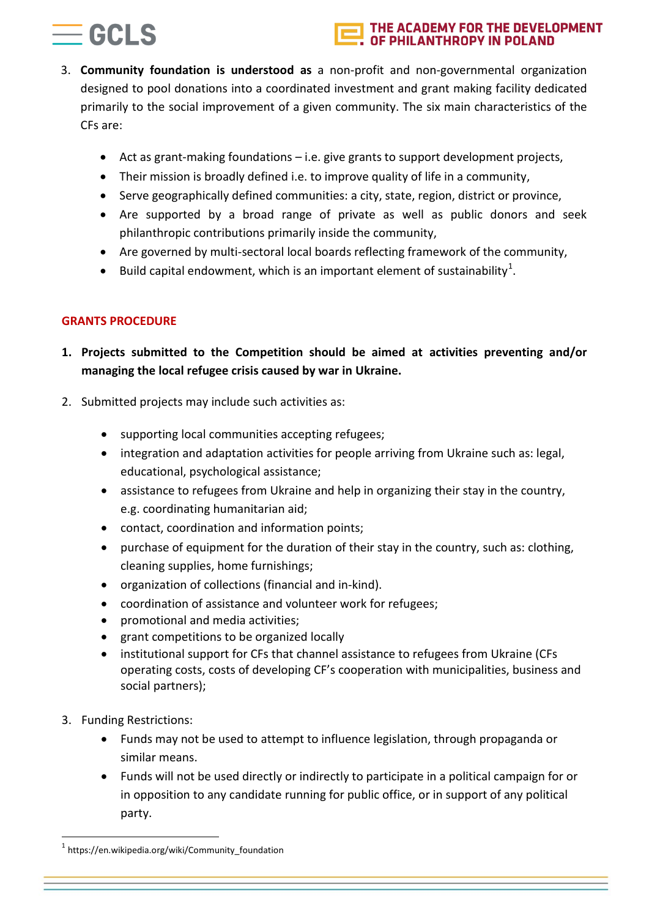# $=$  GCI S

#### THE ACADEMY FOR THE DEVELOPMENT **JF PHILANTHROPY IN POLAND**

- 3. **Community foundation is understood as** a non-profit and non-governmental organization designed to pool donations into a coordinated investment and grant making facility dedicated primarily to the social improvement of a given community. The six main characteristics of the CFs are:
	- Act as grant-making foundations i.e. give grants to support development projects,
	- Their mission is broadly defined i.e. to improve quality of life in a community,
	- Serve geographically defined communities: a city, state, region, district or province,
	- Are supported by a broad range of private as well as public donors and seek philanthropic contributions primarily inside the community,
	- Are governed by multi-sectoral local boards reflecting framework of the community,
	- Build capital endowment, which is an important element of sustainability<sup>1</sup>.

## **GRANTS PROCEDURE**

- **1. Projects submitted to the Competition should be aimed at activities preventing and/or managing the local refugee crisis caused by war in Ukraine.**
- 2. Submitted projects may include such activities as:
	- supporting local communities accepting refugees;
	- integration and adaptation activities for people arriving from Ukraine such as: legal, educational, psychological assistance;
	- assistance to refugees from Ukraine and help in organizing their stay in the country, e.g. coordinating humanitarian aid;
	- contact, coordination and information points;
	- purchase of equipment for the duration of their stay in the country, such as: clothing, cleaning supplies, home furnishings;
	- organization of collections (financial and in-kind).
	- coordination of assistance and volunteer work for refugees;
	- promotional and media activities;
	- grant competitions to be organized locally
	- institutional support for CFs that channel assistance to refugees from Ukraine (CFs operating costs, costs of developing CF's cooperation with municipalities, business and social partners);
- 3. Funding Restrictions:

1

- Funds may not be used to attempt to influence legislation, through propaganda or similar means.
- Funds will not be used directly or indirectly to participate in a political campaign for or in opposition to any candidate running for public office, or in support of any political party.

<sup>1</sup> https://en.wikipedia.org/wiki/Community\_foundation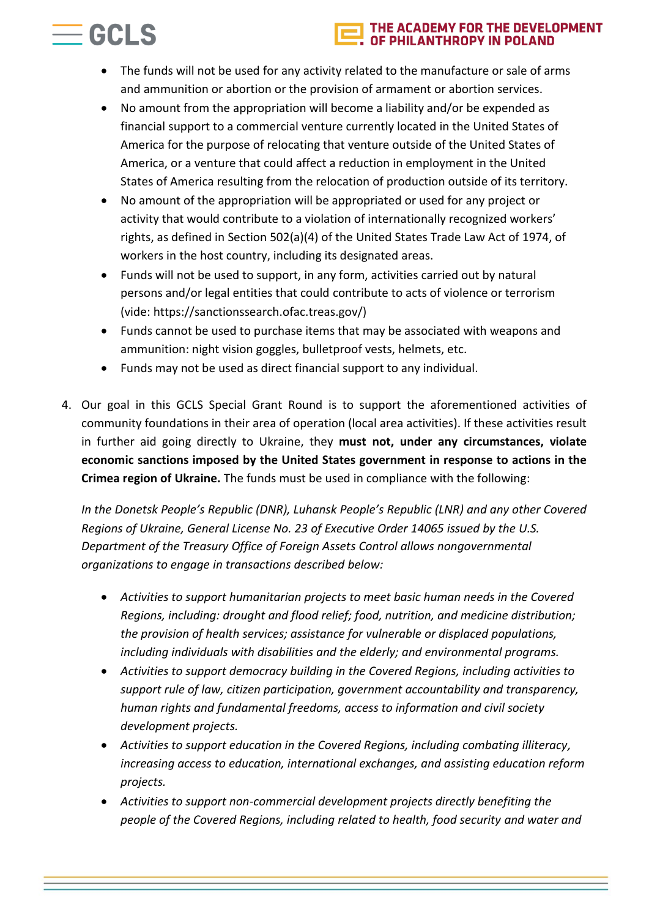#### THE ACADEMY FOR THE DEVELOPMENT **IILANTHROPY IN POLAND**

 The funds will not be used for any activity related to the manufacture or sale of arms and ammunition or abortion or the provision of armament or abortion services.

 $=$  GCLS

- No amount from the appropriation will become a liability and/or be expended as financial support to a commercial venture currently located in the United States of America for the purpose of relocating that venture outside of the United States of America, or a venture that could affect a reduction in employment in the United States of America resulting from the relocation of production outside of its territory.
- No amount of the appropriation will be appropriated or used for any project or activity that would contribute to a violation of internationally recognized workers' rights, as defined in Section 502(a)(4) of the United States Trade Law Act of 1974, of workers in the host country, including its designated areas.
- Funds will not be used to support, in any form, activities carried out by natural persons and/or legal entities that could contribute to acts of violence or terrorism (vide: https://sanctionssearch.ofac.treas.gov/)
- Funds cannot be used to purchase items that may be associated with weapons and ammunition: night vision goggles, bulletproof vests, helmets, etc.
- Funds may not be used as direct financial support to any individual.
- 4. Our goal in this GCLS Special Grant Round is to support the aforementioned activities of community foundations in their area of operation (local area activities). If these activities result in further aid going directly to Ukraine, they **must not, under any circumstances, violate economic sanctions imposed by the United States government in response to actions in the Crimea region of Ukraine.** The funds must be used in compliance with the following:

*In the Donetsk People's Republic (DNR), Luhansk People's Republic (LNR) and any other Covered Regions of Ukraine, General License No. 23 of Executive Order 14065 issued by the U.S. Department of the Treasury Office of Foreign Assets Control allows nongovernmental organizations to engage in transactions described below:*

- *Activities to support humanitarian projects to meet basic human needs in the Covered Regions, including: drought and flood relief; food, nutrition, and medicine distribution; the provision of health services; assistance for vulnerable or displaced populations, including individuals with disabilities and the elderly; and environmental programs.*
- *Activities to support democracy building in the Covered Regions, including activities to support rule of law, citizen participation, government accountability and transparency, human rights and fundamental freedoms, access to information and civil society development projects.*
- *Activities to support education in the Covered Regions, including combating illiteracy, increasing access to education, international exchanges, and assisting education reform projects.*
- *Activities to support non-commercial development projects directly benefiting the people of the Covered Regions, including related to health, food security and water and*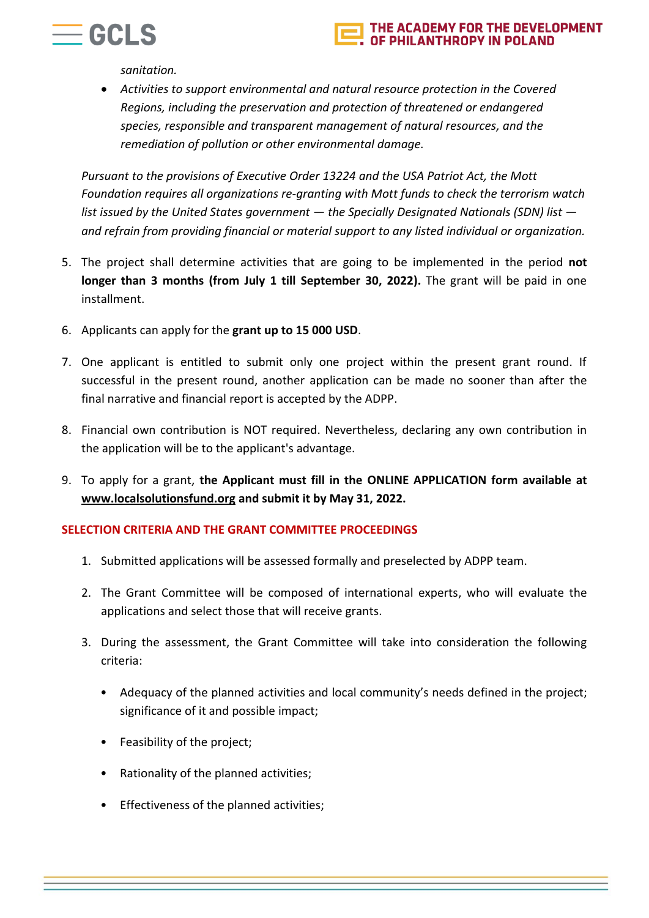

#### THE ACADEMY FOR THE DEVELOPMENT **ANTHROPY IN POLAND**

*sanitation.*

 *Activities to support environmental and natural resource protection in the Covered Regions, including the preservation and protection of threatened or endangered species, responsible and transparent management of natural resources, and the remediation of pollution or other environmental damage.*

*Pursuant to the provisions of Executive Order 13224 and the USA Patriot Act, the Mott Foundation requires all organizations re-granting with Mott funds to check the terrorism watch list issued by the United States government — the Specially Designated Nationals (SDN) list and refrain from providing financial or material support to any listed individual or organization.*

- 5. The project shall determine activities that are going to be implemented in the period **not longer than 3 months (from July 1 till September 30, 2022).** The grant will be paid in one installment.
- 6. Applicants can apply for the **grant up to 15 000 USD**.
- 7. One applicant is entitled to submit only one project within the present grant round. If successful in the present round, another application can be made no sooner than after the final narrative and financial report is accepted by the ADPP.
- 8. Financial own contribution is NOT required. Nevertheless, declaring any own contribution in the application will be to the applicant's advantage.
- 9. To apply for a grant, **the Applicant must fill in the ONLINE APPLICATION form available at [www.localsolutionsfund.org](http://www.localsolutionsfund.org/) and submit it by May 31, 2022.**

## **SELECTION CRITERIA AND THE GRANT COMMITTEE PROCEEDINGS**

- 1. Submitted applications will be assessed formally and preselected by ADPP team.
- 2. The Grant Committee will be composed of international experts, who will evaluate the applications and select those that will receive grants.
- 3. During the assessment, the Grant Committee will take into consideration the following criteria:
	- Adequacy of the planned activities and local community's needs defined in the project; significance of it and possible impact;
	- Feasibility of the project;
	- Rationality of the planned activities;
	- Effectiveness of the planned activities;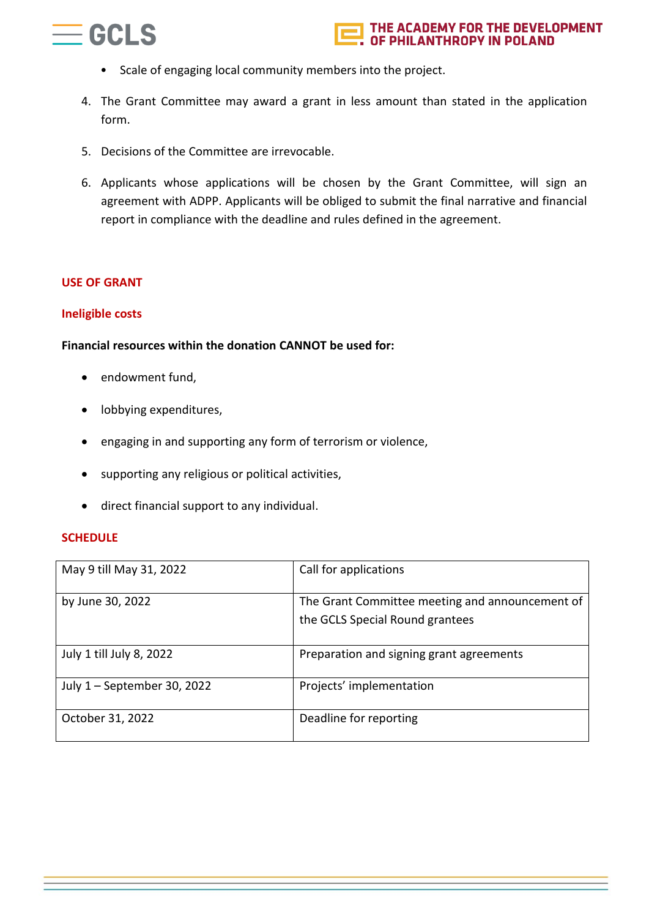

- Scale of engaging local community members into the project.
- 4. The Grant Committee may award a grant in less amount than stated in the application form.
- 5. Decisions of the Committee are irrevocable.
- 6. Applicants whose applications will be chosen by the Grant Committee, will sign an agreement with ADPP. Applicants will be obliged to submit the final narrative and financial report in compliance with the deadline and rules defined in the agreement.

#### **USE OF GRANT**

#### **Ineligible costs**

#### **Financial resources within the donation CANNOT be used for:**

- endowment fund,
- lobbying expenditures,
- engaging in and supporting any form of terrorism or violence,
- supporting any religious or political activities,
- direct financial support to any individual.

#### **SCHEDULE**

| May 9 till May 31, 2022     | Call for applications                                                              |
|-----------------------------|------------------------------------------------------------------------------------|
| by June 30, 2022            | The Grant Committee meeting and announcement of<br>the GCLS Special Round grantees |
| July 1 till July 8, 2022    | Preparation and signing grant agreements                                           |
| July 1 - September 30, 2022 | Projects' implementation                                                           |
| October 31, 2022            | Deadline for reporting                                                             |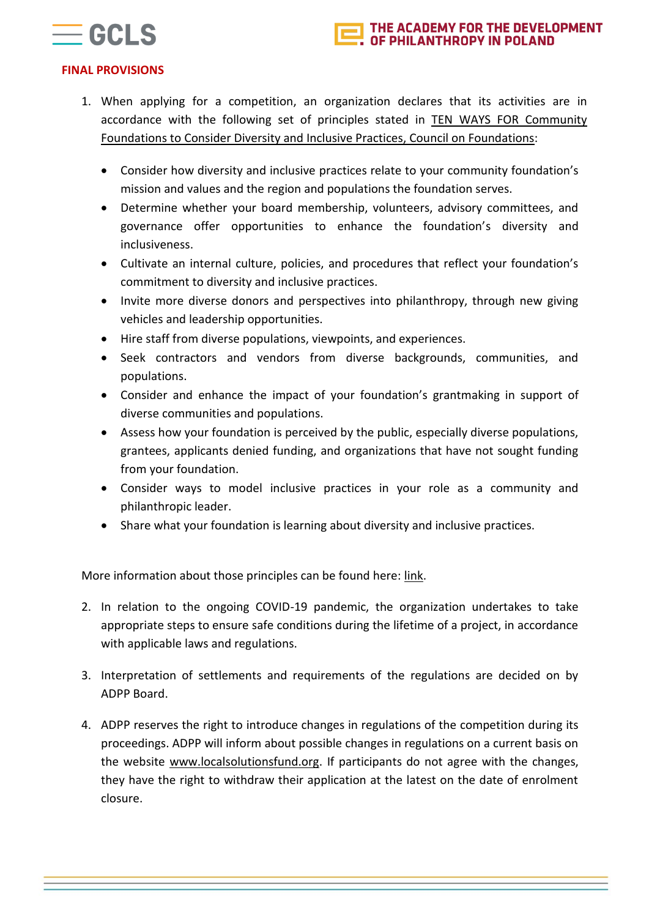



## **FINAL PROVISIONS**

- 1. When applying for a competition, an organization declares that its activities are in accordance with the following set of principles stated in TEN WAYS FOR [Community](http://www.cof.org/sites/default/files/documents/files/10wayscommunityfoundations%5B1%5D.pdf) Foundations to Consider Diversity and Inclusive Practices, Council on [Foundations:](http://www.cof.org/sites/default/files/documents/files/10wayscommunityfoundations%5B1%5D.pdf)
	- Consider how diversity and inclusive practices relate to your community foundation's mission and values and the region and populations the foundation serves.
	- Determine whether your board membership, volunteers, advisory committees, and governance offer opportunities to enhance the foundation's diversity and inclusiveness.
	- Cultivate an internal culture, policies, and procedures that reflect your foundation's commitment to diversity and inclusive practices.
	- Invite more diverse donors and perspectives into philanthropy, through new giving vehicles and leadership opportunities.
	- Hire staff from diverse populations, viewpoints, and experiences.
	- Seek contractors and vendors from diverse backgrounds, communities, and populations.
	- Consider and enhance the impact of your foundation's grantmaking in support of diverse communities and populations.
	- Assess how your foundation is perceived by the public, especially diverse populations, grantees, applicants denied funding, and organizations that have not sought funding from your foundation.
	- Consider ways to model inclusive practices in your role as a community and philanthropic leader.
	- Share what your foundation is learning about diversity and inclusive practices.

More information about those principles can be found here: [link.](http://www.cof.org/sites/default/files/documents/files/10wayscommunityfoundations%5B1%5D.pdf)

- 2. In relation to the ongoing COVID-19 pandemic, the organization undertakes to take appropriate steps to ensure safe conditions during the lifetime of a project, in accordance with applicable laws and regulations.
- 3. Interpretation of settlements and requirements of the regulations are decided on by ADPP Board.
- 4. ADPP reserves the right to introduce changes in regulations of the competition during its proceedings. ADPP will inform about possible changes in regulations on a current basis on the website [www.localsolutionsfund.org.](http://www.localsolutionsfund.org/) If participants do not agree with the changes, they have the right to withdraw their application at the latest on the date of enrolment closure.